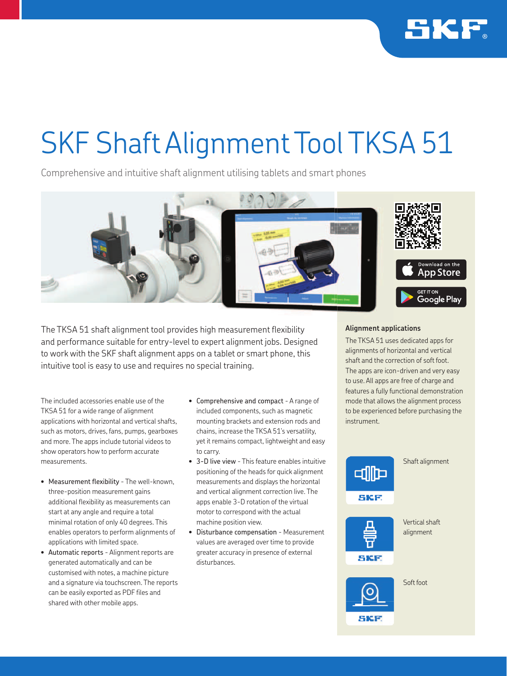

## SKF Shaft Alignment Tool TKSA 51

Comprehensive and intuitive shaft alignment utilising tablets and smart phones



The TKSA 51 shaft alignment tool provides high measurement flexibility and performance suitable for entry-level to expert alignment jobs. Designed to work with the SKF shaft alignment apps on a tablet or smart phone, this intuitive tool is easy to use and requires no special training.

The included accessories enable use of the TKSA 51 for a wide range of alignment applications with horizontal and vertical shafts, such as motors, drives, fans, pumps, gearboxes and more. The apps include tutorial videos to show operators how to perform accurate measurements.

- Measurement flexibility The well-known, three-position measurement gains additional flexibility as measurements can start at any angle and require a total minimal rotation of only 40 degrees. This enables operators to perform alignments of applications with limited space.
- Automatic reports Alignment reports are generated automatically and can be customised with notes, a machine picture and a signature via touchscreen. The reports can be easily exported as PDF files and shared with other mobile apps.
- Comprehensive and compact A range of included components, such as magnetic mounting brackets and extension rods and chains, increase the TKSA 51's versatility, yet it remains compact, lightweight and easy to carry.
- 3-D live view This feature enables intuitive positioning of the heads for quick alignment measurements and displays the horizontal and vertical alignment correction live. The apps enable 3-D rotation of the virtual motor to correspond with the actual machine position view.
- Disturbance compensation Measurement values are averaged over time to provide greater accuracy in presence of external disturbances.

## **Alignment applications**

The TKSA 51 uses dedicated apps for alignments of horizontal and vertical shaft and the correction of soft foot. The apps are icon-driven and very easy to use. All apps are free of charge and features a fully functional demonstration mode that allows the alignment process to be experienced before purchasing the instrument.



Vertical shaft alignment

Soft foot